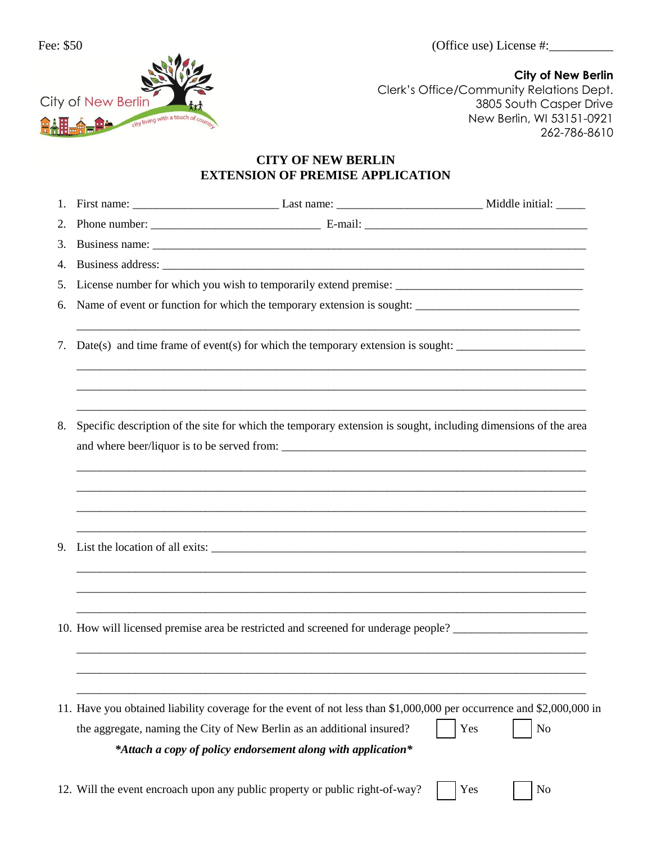

**City of New Berlin** Clerk's Office/Community Relations Dept. 3805 South Casper Drive New Berlin, WI 53151-0921 262-786-8610

## **CITY OF NEW BERLIN EXTENSION OF PREMISE APPLICATION**

| 1. |  |                                                                                                                                                                                                                                                                 |                       |  |  |  |
|----|--|-----------------------------------------------------------------------------------------------------------------------------------------------------------------------------------------------------------------------------------------------------------------|-----------------------|--|--|--|
| 2. |  |                                                                                                                                                                                                                                                                 |                       |  |  |  |
| 3. |  |                                                                                                                                                                                                                                                                 |                       |  |  |  |
| 4. |  |                                                                                                                                                                                                                                                                 |                       |  |  |  |
| 5. |  |                                                                                                                                                                                                                                                                 |                       |  |  |  |
| 6. |  | Name of event or function for which the temporary extension is sought:                                                                                                                                                                                          |                       |  |  |  |
| 7. |  | Date(s) and time frame of event(s) for which the temporary extension is sought:                                                                                                                                                                                 |                       |  |  |  |
| 8. |  | Specific description of the site for which the temporary extension is sought, including dimensions of the area                                                                                                                                                  |                       |  |  |  |
| 9. |  |                                                                                                                                                                                                                                                                 |                       |  |  |  |
|    |  | ,我们也不能在这里的人,我们也不能在这里的人,我们也不能不能不能不能不能不能不能不能不能不能不能不能不能不能不能。""我们的人,我们也不能不能不能不能不能不能不<br>10. How will licensed premise area be restricted and screened for underage people? ___________________________                                                              |                       |  |  |  |
|    |  | 11. Have you obtained liability coverage for the event of not less than \$1,000,000 per occurrence and \$2,000,000 in<br>the aggregate, naming the City of New Berlin as an additional insured?<br>*Attach a copy of policy endorsement along with application* | Yes<br>N <sub>o</sub> |  |  |  |
|    |  | 12. Will the event encroach upon any public property or public right-of-way?                                                                                                                                                                                    | Yes<br>N <sub>o</sub> |  |  |  |